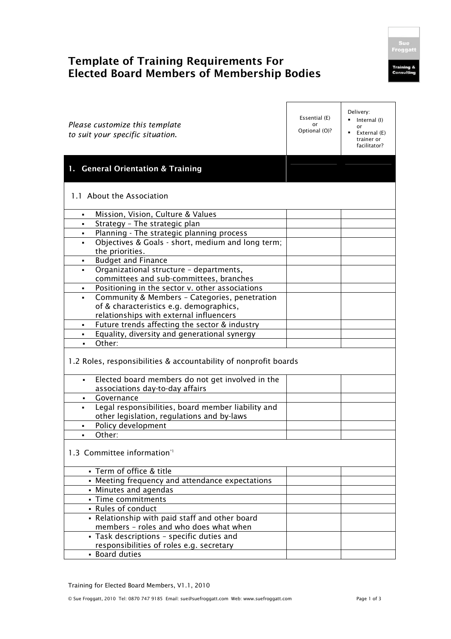## **Template of Training Requirements For Elected Board Members of Membership Bodies**

| Please customize this template<br>to suit your specific situation.                                         | Essential (E)<br>or<br>Optional (O)? | Delivery:<br>Internal (I)<br>or<br>External (E)<br>trainer or<br>facilitator? |  |  |
|------------------------------------------------------------------------------------------------------------|--------------------------------------|-------------------------------------------------------------------------------|--|--|
| <b>General Orientation &amp; Training</b><br>1. .                                                          |                                      |                                                                               |  |  |
| 1.1 About the Association                                                                                  |                                      |                                                                               |  |  |
| Mission, Vision, Culture & Values<br>٠                                                                     |                                      |                                                                               |  |  |
| Strategy - The strategic plan<br>٠                                                                         |                                      |                                                                               |  |  |
| Planning - The strategic planning process<br>٠                                                             |                                      |                                                                               |  |  |
| Objectives & Goals - short, medium and long term;<br>٠                                                     |                                      |                                                                               |  |  |
| the priorities.                                                                                            |                                      |                                                                               |  |  |
| <b>Budget and Finance</b><br>٠                                                                             |                                      |                                                                               |  |  |
| Organizational structure - departments,                                                                    |                                      |                                                                               |  |  |
| committees and sub-committees, branches                                                                    |                                      |                                                                               |  |  |
| Positioning in the sector v. other associations                                                            |                                      |                                                                               |  |  |
| Community & Members - Categories, penetration<br>$\blacksquare$<br>of & characteristics e.g. demographics, |                                      |                                                                               |  |  |
| relationships with external influencers                                                                    |                                      |                                                                               |  |  |
| Future trends affecting the sector & industry<br>$\blacksquare$                                            |                                      |                                                                               |  |  |
| Equality, diversity and generational synergy<br>٠                                                          |                                      |                                                                               |  |  |
| Other:<br>$\blacksquare$                                                                                   |                                      |                                                                               |  |  |
| 1.2 Roles, responsibilities & accountability of nonprofit boards                                           |                                      |                                                                               |  |  |
| Elected board members do not get involved in the<br>$\blacksquare$<br>associations day-to-day affairs      |                                      |                                                                               |  |  |
| Governance                                                                                                 |                                      |                                                                               |  |  |
| Legal responsibilities, board member liability and<br>$\blacksquare$                                       |                                      |                                                                               |  |  |
| other legislation, regulations and by-laws                                                                 |                                      |                                                                               |  |  |
| Policy development                                                                                         |                                      |                                                                               |  |  |
| Other:                                                                                                     |                                      |                                                                               |  |  |
| 1.3 Committee information*1                                                                                |                                      |                                                                               |  |  |
| · Term of office & title                                                                                   |                                      |                                                                               |  |  |
| • Meeting frequency and attendance expectations                                                            |                                      |                                                                               |  |  |
| • Minutes and agendas                                                                                      |                                      |                                                                               |  |  |
| - Time commitments                                                                                         |                                      |                                                                               |  |  |
| - Rules of conduct                                                                                         |                                      |                                                                               |  |  |
| - Relationship with paid staff and other board                                                             |                                      |                                                                               |  |  |
| members - roles and who does what when                                                                     |                                      |                                                                               |  |  |
| - Task descriptions - specific duties and                                                                  |                                      |                                                                               |  |  |
| responsibilities of roles e.g. secretary                                                                   |                                      |                                                                               |  |  |
| - Board duties                                                                                             |                                      |                                                                               |  |  |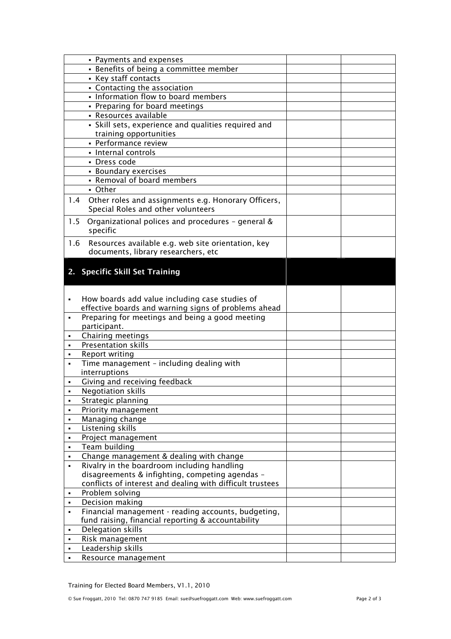|                | • Payments and expenses                                                                   |  |
|----------------|-------------------------------------------------------------------------------------------|--|
|                | • Benefits of being a committee member                                                    |  |
|                | • Key staff contacts                                                                      |  |
|                | • Contacting the association                                                              |  |
|                | - Information flow to board members                                                       |  |
|                | • Preparing for board meetings                                                            |  |
|                | • Resources available                                                                     |  |
|                | · Skill sets, experience and qualities required and                                       |  |
|                | training opportunities                                                                    |  |
|                | • Performance review                                                                      |  |
|                | - Internal controls                                                                       |  |
|                | • Dress code                                                                              |  |
|                | • Boundary exercises                                                                      |  |
|                | - Removal of board members                                                                |  |
|                | - Other                                                                                   |  |
| 1.4            | Other roles and assignments e.g. Honorary Officers,<br>Special Roles and other volunteers |  |
| 1.5            | Organizational polices and procedures - general &<br>specific                             |  |
| 1.6            | Resources available e.g. web site orientation, key<br>documents, library researchers, etc |  |
|                |                                                                                           |  |
|                | 2. Specific Skill Set Training                                                            |  |
|                |                                                                                           |  |
|                |                                                                                           |  |
| $\blacksquare$ | How boards add value including case studies of                                            |  |
|                | effective boards and warning signs of problems ahead                                      |  |
| $\blacksquare$ | Preparing for meetings and being a good meeting<br>participant.                           |  |
|                | Chairing meetings                                                                         |  |
| $\blacksquare$ |                                                                                           |  |
| ٠              | Presentation skills                                                                       |  |
|                | Report writing                                                                            |  |
|                | Time management - including dealing with                                                  |  |
|                | interruptions                                                                             |  |
|                | Giving and receiving feedback                                                             |  |
|                | <b>Negotiation skills</b>                                                                 |  |
|                | Strategic planning                                                                        |  |
| ٠              | Priority management                                                                       |  |
| ٠              | Managing change                                                                           |  |
|                | Listening skills                                                                          |  |
| ٠              | Project management                                                                        |  |
| ٠              | Team building                                                                             |  |
| ٠              | Change management & dealing with change                                                   |  |
| $\blacksquare$ | Rivalry in the boardroom including handling                                               |  |
|                | disagreements & infighting, competing agendas -                                           |  |
|                | conflicts of interest and dealing with difficult trustees                                 |  |
| ٠              | Problem solving                                                                           |  |
| ٠              | Decision making                                                                           |  |
| ٠              | Financial management - reading accounts, budgeting,                                       |  |
|                | fund raising, financial reporting & accountability                                        |  |
| ٠              | Delegation skills                                                                         |  |
| ٠              | Risk management                                                                           |  |
| ٠<br>٠         | Leadership skills<br>Resource management                                                  |  |